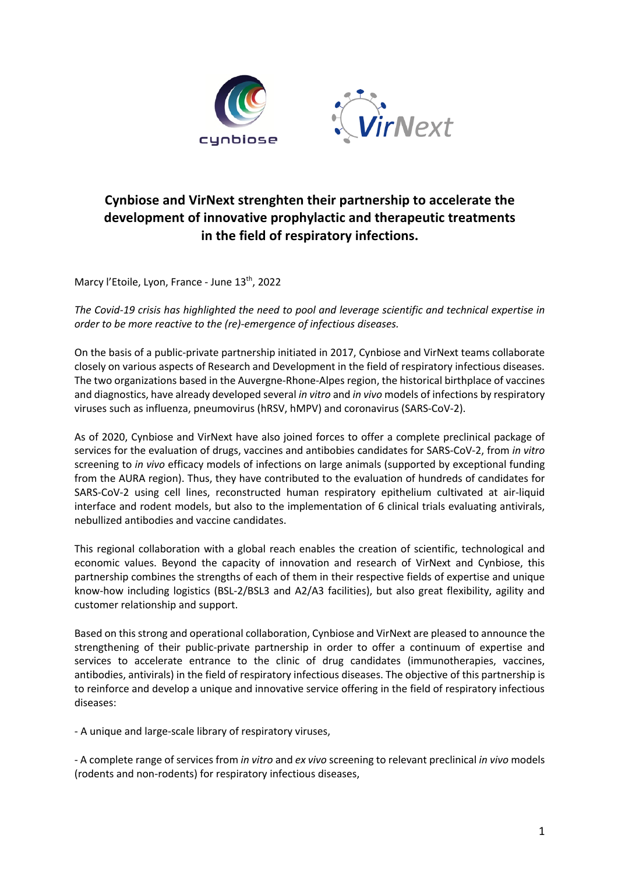

## **Cynbiose and VirNext strenghten their partnership to accelerate the development of innovative prophylactic and therapeutic treatments in the field of respiratory infections.**

Marcy l'Etoile, Lyon, France - June 13<sup>th</sup>, 2022

*The Covid-19 crisis has highlighted the need to pool and leverage scientific and technical expertise in order to be more reactive to the (re)-emergence of infectious diseases.* 

On the basis of a public-private partnership initiated in 2017, Cynbiose and VirNext teams collaborate closely on various aspects of Research and Development in the field of respiratory infectious diseases. The two organizations based in the Auvergne-Rhone-Alpes region, the historical birthplace of vaccines and diagnostics, have already developed several *in vitro* and *in vivo* models of infections by respiratory viruses such as influenza, pneumovirus (hRSV, hMPV) and coronavirus (SARS-CoV-2).

As of 2020, Cynbiose and VirNext have also joined forces to offer a complete preclinical package of services for the evaluation of drugs, vaccines and antibobies candidates for SARS-CoV-2, from *in vitro* screening to *in vivo* efficacy models of infections on large animals (supported by exceptional funding from the AURA region). Thus, they have contributed to the evaluation of hundreds of candidates for SARS-CoV-2 using cell lines, reconstructed human respiratory epithelium cultivated at air-liquid interface and rodent models, but also to the implementation of 6 clinical trials evaluating antivirals, nebullized antibodies and vaccine candidates.

This regional collaboration with a global reach enables the creation of scientific, technological and economic values. Beyond the capacity of innovation and research of VirNext and Cynbiose, this partnership combines the strengths of each of them in their respective fields of expertise and unique know-how including logistics (BSL-2/BSL3 and A2/A3 facilities), but also great flexibility, agility and customer relationship and support.

Based on this strong and operational collaboration, Cynbiose and VirNext are pleased to announce the strengthening of their public-private partnership in order to offer a continuum of expertise and services to accelerate entrance to the clinic of drug candidates (immunotherapies, vaccines, antibodies, antivirals) in the field of respiratory infectious diseases. The objective of this partnership is to reinforce and develop a unique and innovative service offering in the field of respiratory infectious diseases:

- A unique and large-scale library of respiratory viruses,

- A complete range of services from *in vitro* and *ex vivo* screening to relevant preclinical *in vivo* models (rodents and non-rodents) for respiratory infectious diseases,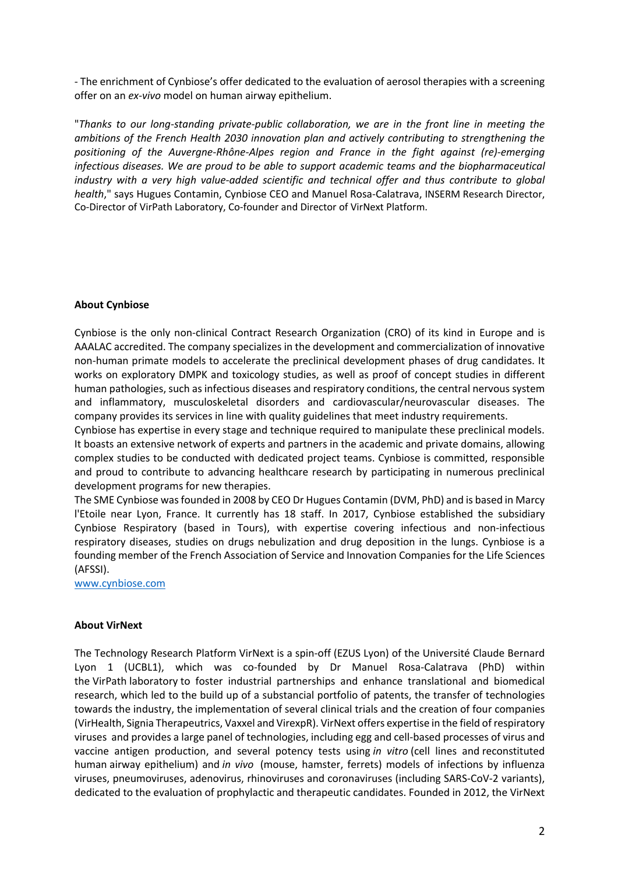- The enrichment of Cynbiose's offer dedicated to the evaluation of aerosol therapies with a screening offer on an *ex-vivo* model on human airway epithelium.

"*Thanks to our long-standing private-public collaboration, we are in the front line in meeting the ambitions of the French Health 2030 innovation plan and actively contributing to strengthening the positioning of the Auvergne-Rhône-Alpes region and France in the fight against (re)-emerging infectious diseases. We are proud to be able to support academic teams and the biopharmaceutical industry with a very high value-added scientific and technical offer and thus contribute to global health*," says Hugues Contamin, Cynbiose CEO and Manuel Rosa-Calatrava, INSERM Research Director, Co-Director of VirPath Laboratory, Co-founder and Director of VirNext Platform.

## **About Cynbiose**

Cynbiose is the only non-clinical Contract Research Organization (CRO) of its kind in Europe and is AAALAC accredited. The company specializes in the development and commercialization of innovative non-human primate models to accelerate the preclinical development phases of drug candidates. It works on exploratory DMPK and toxicology studies, as well as proof of concept studies in different human pathologies, such as infectious diseases and respiratory conditions, the central nervous system and inflammatory, musculoskeletal disorders and cardiovascular/neurovascular diseases. The company provides its services in line with quality guidelines that meet industry requirements.

Cynbiose has expertise in every stage and technique required to manipulate these preclinical models. It boasts an extensive network of experts and partners in the academic and private domains, allowing complex studies to be conducted with dedicated project teams. Cynbiose is committed, responsible and proud to contribute to advancing healthcare research by participating in numerous preclinical development programs for new therapies.

The SME Cynbiose was founded in 2008 by CEO Dr Hugues Contamin (DVM, PhD) and is based in Marcy l'Etoile near Lyon, France. It currently has 18 staff. In 2017, Cynbiose established the subsidiary Cynbiose Respiratory (based in Tours), with expertise covering infectious and non-infectious respiratory diseases, studies on drugs nebulization and drug deposition in the lungs. Cynbiose is a founding member of the French Association of Service and Innovation Companies for the Life Sciences (AFSSI).

www.cynbiose.com

## **About VirNext**

The Technology Research Platform VirNext is a spin-off (EZUS Lyon) of the Université Claude Bernard Lyon 1 (UCBL1), which was co-founded by Dr Manuel Rosa-Calatrava (PhD) within the VirPath laboratory to foster industrial partnerships and enhance translational and biomedical research, which led to the build up of a substancial portfolio of patents, the transfer of technologies towards the industry, the implementation of several clinical trials and the creation of four companies (VirHealth, Signia Therapeutrics, Vaxxel and VirexpR). VirNext offers expertise in the field of respiratory viruses and provides a large panel of technologies, including egg and cell-based processes of virus and vaccine antigen production, and several potency tests using *in vitro* (cell lines and reconstituted human airway epithelium) and *in vivo* (mouse, hamster, ferrets) models of infections by influenza viruses, pneumoviruses, adenovirus, rhinoviruses and coronaviruses (including SARS-CoV-2 variants), dedicated to the evaluation of prophylactic and therapeutic candidates. Founded in 2012, the VirNext